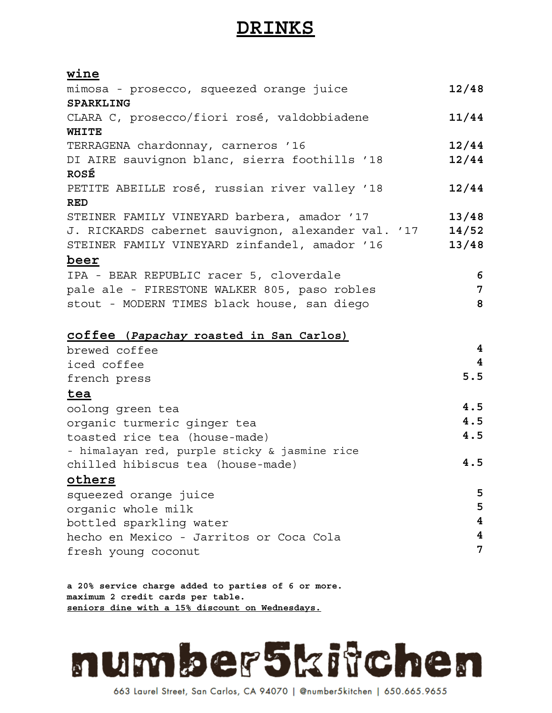## **DRINKS**

## **wine**

| mimosa - prosecco, squeezed orange juice           | 12/48                   |
|----------------------------------------------------|-------------------------|
| SPARKLING                                          |                         |
| CLARA C, prosecco/fiori rosé, valdobbiadene        | 11/44                   |
| WHITE                                              |                         |
| TERRAGENA chardonnay, carneros '16                 | 12/44                   |
| DI AIRE sauvignon blanc, sierra foothills '18      | 12/44                   |
| ROSÉ                                               |                         |
| PETITE ABEILLE rosé, russian river valley '18      | 12/44                   |
| <b>RED</b>                                         |                         |
| STEINER FAMILY VINEYARD barbera, amador '17        | 13/48                   |
| J. RICKARDS cabernet sauvignon, alexander val. '17 | 14/52                   |
| STEINER FAMILY VINEYARD zinfandel, amador '16      | 13/48                   |
| <u>beer</u>                                        |                         |
| IPA - BEAR REPUBLIC racer 5, cloverdale            | 6                       |
| pale ale - FIRESTONE WALKER 805, paso robles       | $\overline{7}$          |
| stout - MODERN TIMES black house, san diego        | 8                       |
|                                                    |                         |
| coffee (Papachay roasted in San Carlos)            |                         |
| brewed coffee                                      | 4                       |
| iced coffee                                        | $\overline{\mathbf{4}}$ |
| french press                                       | 5.5                     |
| tea                                                |                         |
| oolong green tea                                   | 4.5                     |
| organic turmeric ginger tea                        | 4.5                     |
| toasted rice tea (house-made)                      | 4.5                     |
| - himalayan red, purple sticky & jasmine rice      |                         |
| chilled hibiscus tea (house-made)                  | 4.5                     |
| others                                             |                         |
| squeezed orange juice                              | 5                       |
| organic whole milk                                 | 5                       |
| bottled sparkling water                            | 4                       |
| hecho en Mexico - Jarritos or Coca Cola            | 4                       |
| fresh young coconut                                | 7                       |
|                                                    |                         |

**a 20% service charge added to parties of 6 or more. maximum 2 credit cards per table. seniors dine with a 15% discount on Wednesdays.**



663 Laurel Street, San Carlos, CA 94070 | @number5kitchen | 650.665.9655